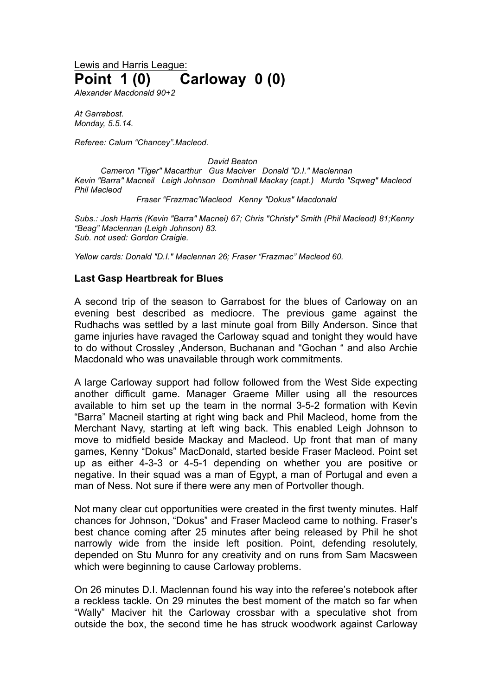Lewis and Harris League: **Point 1 (0) Carloway 0 (0)**

*Alexander Macdonald 90+2*

*At Garrabost. Monday, 5.5.14.*

*Referee: Calum "Chancey".Macleod.*

*David Beaton*

*Cameron "Tiger" Macarthur Gus Maciver Donald "D.I." Maclennan Kevin "Barra" Macneil Leigh Johnson Domhnall Mackay (capt.) Murdo "Sqweg" Macleod Phil Macleod*

*Fraser "Frazmac"Macleod Kenny "Dokus" Macdonald*

*Subs.: Josh Harris (Kevin "Barra" Macnei) 67; Chris "Christy" Smith (Phil Macleod) 81;Kenny "Beag" Maclennan (Leigh Johnson) 83. Sub. not used: Gordon Craigie.*

*Yellow cards: Donald "D.I." Maclennan 26; Fraser "Frazmac" Macleod 60.*

## **Last Gasp Heartbreak for Blues**

A second trip of the season to Garrabost for the blues of Carloway on an evening best described as mediocre. The previous game against the Rudhachs was settled by a last minute goal from Billy Anderson. Since that game injuries have ravaged the Carloway squad and tonight they would have to do without Crossley ,Anderson, Buchanan and "Gochan " and also Archie Macdonald who was unavailable through work commitments.

A large Carloway support had follow followed from the West Side expecting another difficult game. Manager Graeme Miller using all the resources available to him set up the team in the normal 3-5-2 formation with Kevin "Barra" Macneil starting at right wing back and Phil Macleod, home from the Merchant Navy, starting at left wing back. This enabled Leigh Johnson to move to midfield beside Mackay and Macleod. Up front that man of many games, Kenny "Dokus" MacDonald, started beside Fraser Macleod. Point set up as either 4-3-3 or 4-5-1 depending on whether you are positive or negative. In their squad was a man of Egypt, a man of Portugal and even a man of Ness. Not sure if there were any men of Portvoller though.

Not many clear cut opportunities were created in the first twenty minutes. Half chances for Johnson, "Dokus" and Fraser Macleod came to nothing. Fraser's best chance coming after 25 minutes after being released by Phil he shot narrowly wide from the inside left position. Point, defending resolutely, depended on Stu Munro for any creativity and on runs from Sam Macsween which were beginning to cause Carloway problems.

On 26 minutes D.I. Maclennan found his way into the referee's notebook after a reckless tackle. On 29 minutes the best moment of the match so far when "Wally" Maciver hit the Carloway crossbar with a speculative shot from outside the box, the second time he has struck woodwork against Carloway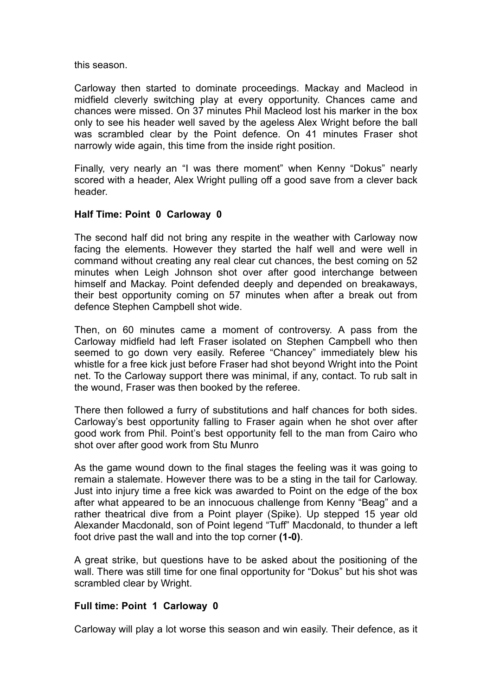this season.

Carloway then started to dominate proceedings. Mackay and Macleod in midfield cleverly switching play at every opportunity. Chances came and chances were missed. On 37 minutes Phil Macleod lost his marker in the box only to see his header well saved by the ageless Alex Wright before the ball was scrambled clear by the Point defence. On 41 minutes Fraser shot narrowly wide again, this time from the inside right position.

Finally, very nearly an "I was there moment" when Kenny "Dokus" nearly scored with a header, Alex Wright pulling off a good save from a clever back header.

## **Half Time: Point 0 Carloway 0**

The second half did not bring any respite in the weather with Carloway now facing the elements. However they started the half well and were well in command without creating any real clear cut chances, the best coming on 52 minutes when Leigh Johnson shot over after good interchange between himself and Mackay. Point defended deeply and depended on breakaways, their best opportunity coming on 57 minutes when after a break out from defence Stephen Campbell shot wide.

Then, on 60 minutes came a moment of controversy. A pass from the Carloway midfield had left Fraser isolated on Stephen Campbell who then seemed to go down very easily. Referee "Chancey" immediately blew his whistle for a free kick just before Fraser had shot beyond Wright into the Point net. To the Carloway support there was minimal, if any, contact. To rub salt in the wound, Fraser was then booked by the referee.

There then followed a furry of substitutions and half chances for both sides. Carloway's best opportunity falling to Fraser again when he shot over after good work from Phil. Point's best opportunity fell to the man from Cairo who shot over after good work from Stu Munro

As the game wound down to the final stages the feeling was it was going to remain a stalemate. However there was to be a sting in the tail for Carloway. Just into injury time a free kick was awarded to Point on the edge of the box after what appeared to be an innocuous challenge from Kenny "Beag" and a rather theatrical dive from a Point player (Spike). Up stepped 15 year old Alexander Macdonald, son of Point legend "Tuff" Macdonald, to thunder a left foot drive past the wall and into the top corner **(1-0)**.

A great strike, but questions have to be asked about the positioning of the wall. There was still time for one final opportunity for "Dokus" but his shot was scrambled clear by Wright.

## **Full time: Point 1 Carloway 0**

Carloway will play a lot worse this season and win easily. Their defence, as it